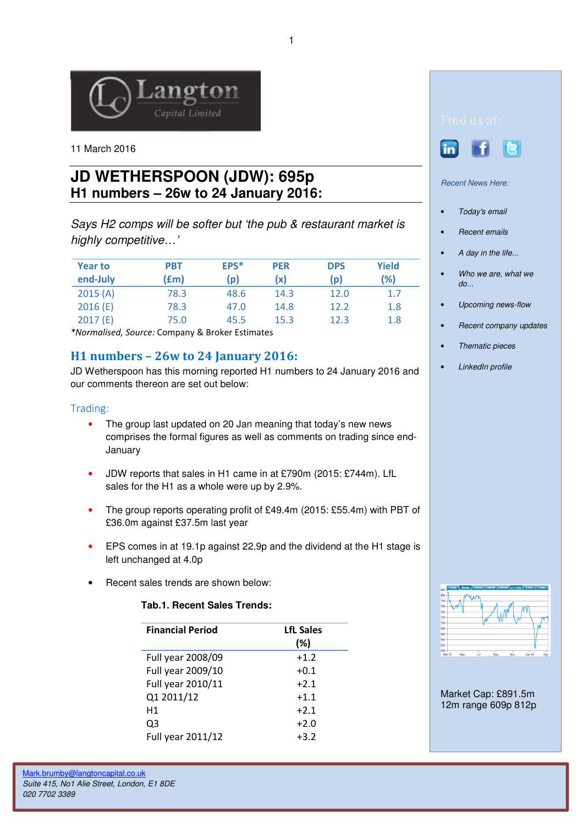

11 March 2016

# **JD WETHERSPOON (JDW): 695p H1 numbers – 26w to 24 January 2016:**

Says H2 comps will be softer but 'the pub & restaurant market is highly competitive...'

| <b>Year to</b><br>end-July | PBT<br>(£m) | EPS*<br>(p) | <b>PER</b><br>(x) | <b>DPS</b><br>(p) | Yield<br>(%) |
|----------------------------|-------------|-------------|-------------------|-------------------|--------------|
| 2015(A)                    | 78.3        | 48.6        | 14.3              | 12.0              | 1.7          |
| 2016(E)                    | 78.3        | 47.0        | 14.8              | 12.2              | 1.8          |
| 2017(E)                    | 75.0        | 45.5        | 15.3              | 12.3              | 1.8          |

\*Normalised, Source: Company & Broker Estimates

## H1 numbers – 26w to 24 January 2016:

JD Wetherspoon has this morning reported H1 numbers to 24 January 2016 and our comments thereon are set out below:

#### Trading:

- The group last updated on 20 Jan meaning that today's new news comprises the formal figures as well as comments on trading since end-January
- JDW reports that sales in H1 came in at £790m (2015: £744m). LfL sales for the H1 as a whole were up by 2.9%.
- The group reports operating profit of £49.4m (2015: £55.4m) with PBT of £36.0m against £37.5m last year
- EPS comes in at 19.1p against 22.9p and the dividend at the H1 stage is left unchanged at 4.0p
- Recent sales trends are shown below:

#### **Tab.1. Recent Sales Trends:**

| <b>Financial Period</b> | <b>LfL Sales</b><br>(%) |
|-------------------------|-------------------------|
| Full year 2008/09       | $+1.2$                  |
| Full year 2009/10       | $+0.1$                  |
| Full year 2010/11       | $+2.1$                  |
| Q1 2011/12              | $+1.1$                  |
| H1                      | $+2.1$                  |
| Q3                      | $+2.0$                  |
| Full year 2011/12       | $+3.2$                  |





Recent News Here:

- Today's email
- Recent emails
- A day in the life...
- Who we are, what we do...
- Upcoming news-flow
- Recent company updates
- Thematic pieces
- LinkedIn profile



Market Cap: £891.5m 12m range 609p 812p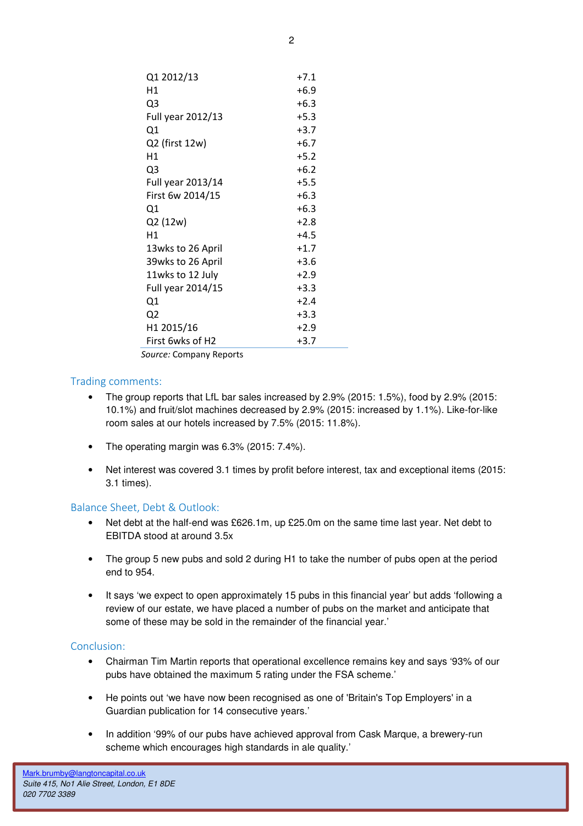| Q1 2012/13             | $+7.1$ |
|------------------------|--------|
| Η1                     | $+6.9$ |
| Q3                     | $+6.3$ |
| Full year 2012/13      | $+5.3$ |
| Q1                     | $+3.7$ |
| Q2 (first 12w)         | $+6.7$ |
| Η1                     | $+5.2$ |
| Q3                     | $+6.2$ |
| Full year 2013/14      | $+5.5$ |
| First 6w 2014/15       | $+6.3$ |
| Q1                     | $+6.3$ |
| Q2 (12w)               | $+2.8$ |
| Η1                     | $+4.5$ |
| 13wks to 26 April      | $+1.7$ |
| 39wks to 26 April      | $+3.6$ |
| 11wks to 12 July       | $+2.9$ |
| Full year 2014/15      | $+3.3$ |
| Q1                     | $+2.4$ |
| Q2                     | $+3.3$ |
| H <sub>1</sub> 2015/16 | $+2.9$ |
| First 6wks of H2       | $+3.7$ |
|                        |        |

Source: Company Reports

#### Trading comments:

- The group reports that LfL bar sales increased by 2.9% (2015: 1.5%), food by 2.9% (2015: 10.1%) and fruit/slot machines decreased by 2.9% (2015: increased by 1.1%). Like-for-like room sales at our hotels increased by 7.5% (2015: 11.8%).
- The operating margin was 6.3% (2015: 7.4%).
- Net interest was covered 3.1 times by profit before interest, tax and exceptional items (2015: 3.1 times).

### Balance Sheet, Debt & Outlook:

- Net debt at the half-end was £626.1m, up £25.0m on the same time last year. Net debt to EBITDA stood at around 3.5x
- The group 5 new pubs and sold 2 during H1 to take the number of pubs open at the period end to 954.
- It says 'we expect to open approximately 15 pubs in this financial year' but adds 'following a review of our estate, we have placed a number of pubs on the market and anticipate that some of these may be sold in the remainder of the financial year.'

#### Conclusion:

- Chairman Tim Martin reports that operational excellence remains key and says '93% of our pubs have obtained the maximum 5 rating under the FSA scheme.'
- He points out 'we have now been recognised as one of 'Britain's Top Employers' in a Guardian publication for 14 consecutive years.'
- In addition '99% of our pubs have achieved approval from Cask Marque, a brewery-run scheme which encourages high standards in ale quality.'